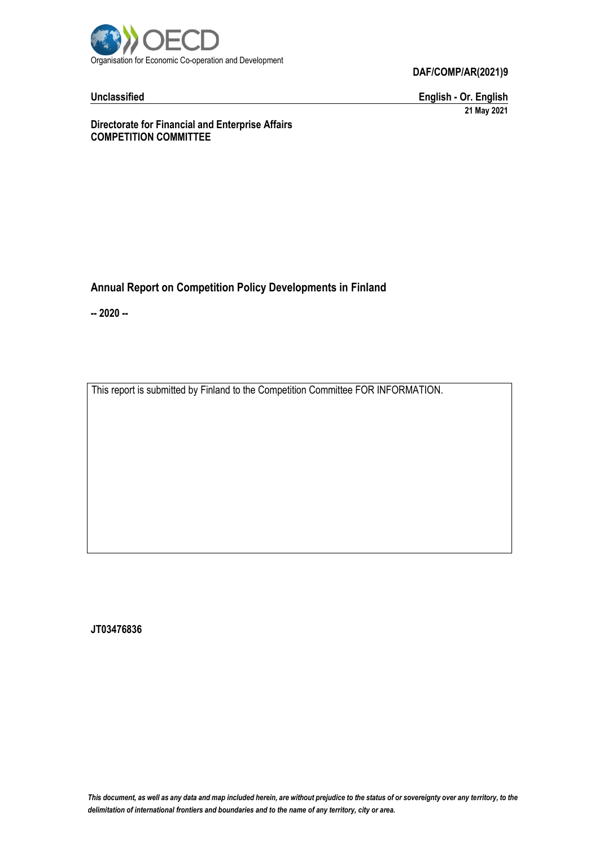

**Unclassified English - Or. English 21 May 2021**

**Directorate for Financial and Enterprise Affairs COMPETITION COMMITTEE**

**Annual Report on Competition Policy Developments in Finland**

**-- 2020 --**

This report is submitted by Finland to the Competition Committee FOR INFORMATION.

**JT03476836**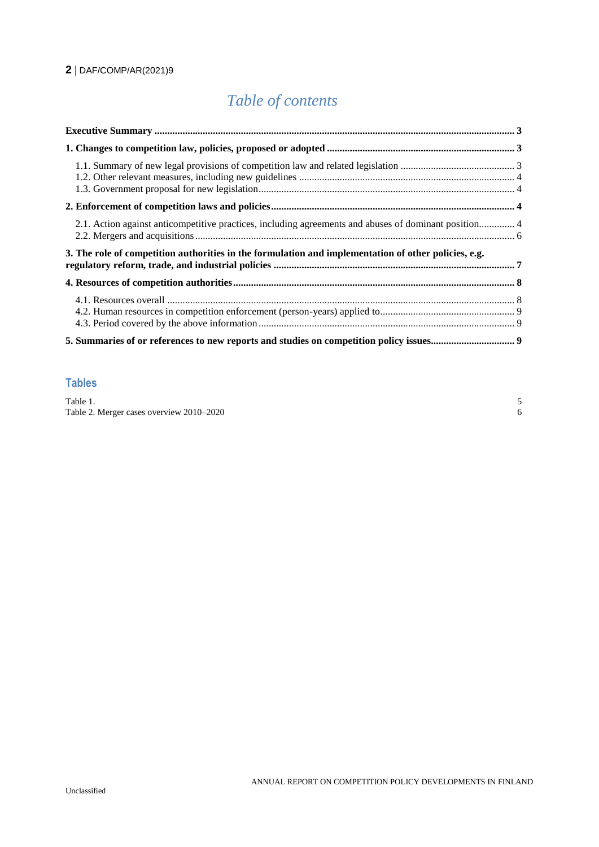# *Table of contents*

| 2.1. Action against anticompetitive practices, including agreements and abuses of dominant position 4 |  |
|-------------------------------------------------------------------------------------------------------|--|
| 3. The role of competition authorities in the formulation and implementation of other policies, e.g.  |  |
|                                                                                                       |  |
|                                                                                                       |  |
|                                                                                                       |  |

# **Tables**

| Table 1.                                 |  |
|------------------------------------------|--|
| Table 2. Merger cases overview 2010-2020 |  |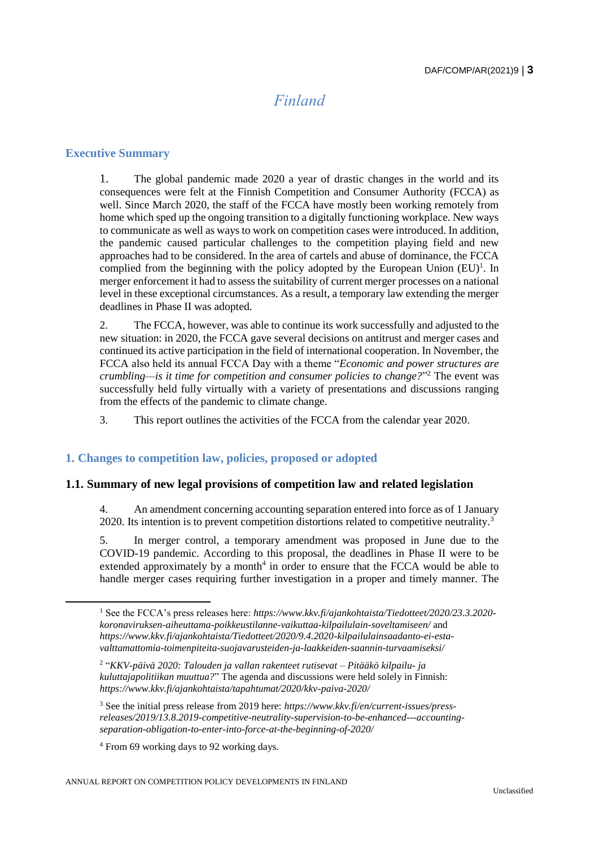# *Finland*

#### <span id="page-2-0"></span>**Executive Summary**

1. The global pandemic made 2020 a year of drastic changes in the world and its consequences were felt at the Finnish Competition and Consumer Authority (FCCA) as well. Since March 2020, the staff of the FCCA have mostly been working remotely from home which sped up the ongoing transition to a digitally functioning workplace. New ways to communicate as well as ways to work on competition cases were introduced. In addition, the pandemic caused particular challenges to the competition playing field and new approaches had to be considered. In the area of cartels and abuse of dominance, the FCCA complied from the beginning with the policy adopted by the European Union  $(EU)^1$ . In merger enforcement it had to assess the suitability of current merger processes on a national level in these exceptional circumstances. As a result, a temporary law extending the merger deadlines in Phase II was adopted.

2. The FCCA, however, was able to continue its work successfully and adjusted to the new situation: in 2020, the FCCA gave several decisions on antitrust and merger cases and continued its active participation in the field of international cooperation. In November, the FCCA also held its annual FCCA Day with a theme "*Economic and power structures are crumbling—is it time for competition and consumer policies to change?*" <sup>2</sup> The event was successfully held fully virtually with a variety of presentations and discussions ranging from the effects of the pandemic to climate change.

3. This report outlines the activities of the FCCA from the calendar year 2020.

#### <span id="page-2-1"></span>**1. Changes to competition law, policies, proposed or adopted**

#### <span id="page-2-2"></span>**1.1. Summary of new legal provisions of competition law and related legislation**

4. An amendment concerning accounting separation entered into force as of 1 January 2020. Its intention is to prevent competition distortions related to competitive neutrality.<sup>3</sup>

5. In merger control, a temporary amendment was proposed in June due to the COVID-19 pandemic. According to this proposal, the deadlines in Phase II were to be extended approximately by a month $4$  in order to ensure that the FCCA would be able to handle merger cases requiring further investigation in a proper and timely manner. The

<sup>4</sup> From 69 working days to 92 working days.

<sup>1</sup> See the FCCA's press releases here: *https://www.kkv.fi/ajankohtaista/Tiedotteet/2020/23.3.2020 koronaviruksen-aiheuttama-poikkeustilanne-vaikuttaa-kilpailulain-soveltamiseen/* and *https://www.kkv.fi/ajankohtaista/Tiedotteet/2020/9.4.2020-kilpailulainsaadanto-ei-estavalttamattomia-toimenpiteita-suojavarusteiden-ja-laakkeiden-saannin-turvaamiseksi/*

<sup>2</sup> "*KKV-päivä 2020: Talouden ja vallan rakenteet rutisevat – Pitääkö kilpailu- ja kuluttajapolitiikan muuttua?*" The agenda and discussions were held solely in Finnish: *https://www.kkv.fi/ajankohtaista/tapahtumat/2020/kkv-paiva-2020/*

<sup>3</sup> See the initial press release from 2019 here: *https://www.kkv.fi/en/current-issues/pressreleases/2019/13.8.2019-competitive-neutrality-supervision-to-be-enhanced---accountingseparation-obligation-to-enter-into-force-at-the-beginning-of-2020/*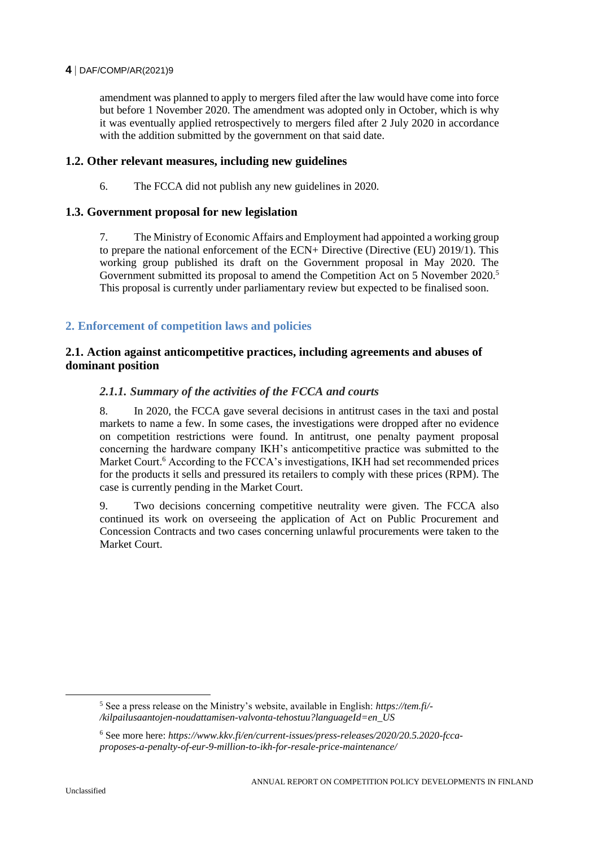amendment was planned to apply to mergers filed after the law would have come into force but before 1 November 2020. The amendment was adopted only in October, which is why it was eventually applied retrospectively to mergers filed after 2 July 2020 in accordance with the addition submitted by the government on that said date.

#### <span id="page-3-0"></span>**1.2. Other relevant measures, including new guidelines**

6. The FCCA did not publish any new guidelines in 2020.

#### <span id="page-3-1"></span>**1.3. Government proposal for new legislation**

7. The Ministry of Economic Affairs and Employment had appointed a working group to prepare the national enforcement of the ECN+ Directive (Directive (EU) 2019/1). This working group published its draft on the Government proposal in May 2020. The Government submitted its proposal to amend the Competition Act on 5 November 2020.<sup>5</sup> This proposal is currently under parliamentary review but expected to be finalised soon.

## <span id="page-3-2"></span>**2. Enforcement of competition laws and policies**

#### <span id="page-3-3"></span>**2.1. Action against anticompetitive practices, including agreements and abuses of dominant position**

#### *2.1.1. Summary of the activities of the FCCA and courts*

8. In 2020, the FCCA gave several decisions in antitrust cases in the taxi and postal markets to name a few. In some cases, the investigations were dropped after no evidence on competition restrictions were found. In antitrust, one penalty payment proposal concerning the hardware company IKH's anticompetitive practice was submitted to the Market Court.<sup>6</sup> According to the FCCA's investigations, IKH had set recommended prices for the products it sells and pressured its retailers to comply with these prices (RPM). The case is currently pending in the Market Court.

9. Two decisions concerning competitive neutrality were given. The FCCA also continued its work on overseeing the application of Act on Public Procurement and Concession Contracts and two cases concerning unlawful procurements were taken to the Market Court.

<sup>5</sup> See a press release on the Ministry's website, available in English: *https://tem.fi/- /kilpailusaantojen-noudattamisen-valvonta-tehostuu?languageId=en\_US*

<sup>6</sup> See more here: *https://www.kkv.fi/en/current-issues/press-releases/2020/20.5.2020-fccaproposes-a-penalty-of-eur-9-million-to-ikh-for-resale-price-maintenance/*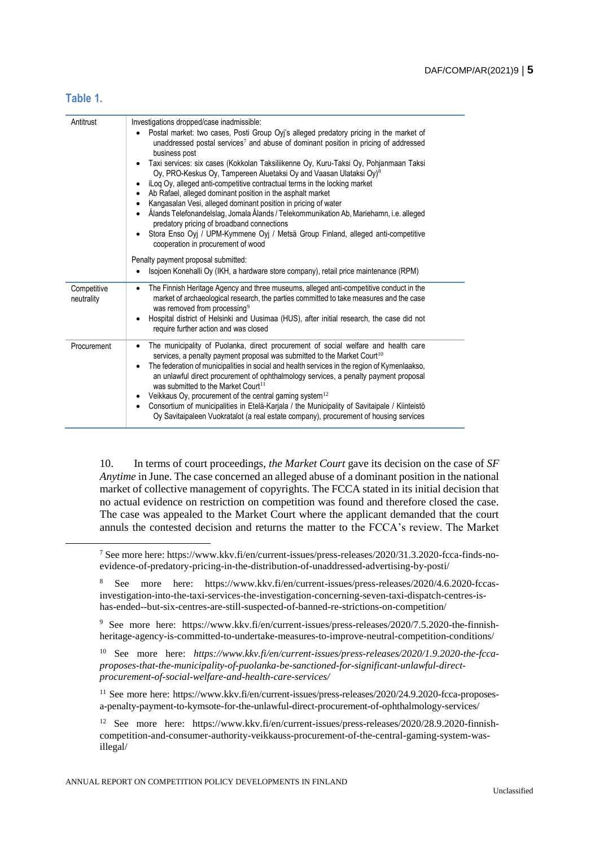# <span id="page-4-0"></span>**Table 1.**

 $\overline{a}$ 

| Antitrust                 | Investigations dropped/case inadmissible:<br>Postal market: two cases, Posti Group Oyj's alleged predatory pricing in the market of<br>$\bullet$<br>unaddressed postal services <sup>7</sup> and abuse of dominant position in pricing of addressed<br>business post<br>Taxi services: six cases (Kokkolan Taksiliikenne Oy, Kuru-Taksi Oy, Pohjanmaan Taksi<br>$\bullet$<br>Oy, PRO-Keskus Oy, Tampereen Aluetaksi Oy and Vaasan Ulataksi Oy) <sup>8</sup><br>iLog Oy, alleged anti-competitive contractual terms in the locking market<br>• Ab Rafael, alleged dominant position in the asphalt market<br>Kangasalan Vesi, alleged dominant position in pricing of water<br>• Ålands Telefonandelslag, Jomala Ålands / Telekommunikation Ab, Mariehamn, i.e. alleged<br>predatory pricing of broadband connections<br>• Stora Enso Oyj / UPM-Kymmene Oyj / Metsä Group Finland, alleged anti-competitive<br>cooperation in procurement of wood<br>Penalty payment proposal submitted:<br>Isojoen Konehalli Oy (IKH, a hardware store company), retail price maintenance (RPM)<br>$\bullet$ |
|---------------------------|----------------------------------------------------------------------------------------------------------------------------------------------------------------------------------------------------------------------------------------------------------------------------------------------------------------------------------------------------------------------------------------------------------------------------------------------------------------------------------------------------------------------------------------------------------------------------------------------------------------------------------------------------------------------------------------------------------------------------------------------------------------------------------------------------------------------------------------------------------------------------------------------------------------------------------------------------------------------------------------------------------------------------------------------------------------------------------------------|
| Competitive<br>neutrality | The Finnish Heritage Agency and three museums, alleged anti-competitive conduct in the<br>$\bullet$<br>market of archaeological research, the parties committed to take measures and the case<br>was removed from processing <sup>9</sup><br>Hospital district of Helsinki and Uusimaa (HUS), after initial research, the case did not<br>require further action and was closed                                                                                                                                                                                                                                                                                                                                                                                                                                                                                                                                                                                                                                                                                                              |
| Procurement               | The municipality of Puolanka, direct procurement of social welfare and health care<br>٠<br>services, a penalty payment proposal was submitted to the Market Court <sup>10</sup><br>The federation of municipalities in social and health services in the region of Kymenlaakso,<br>an unlawful direct procurement of ophthalmology services, a penalty payment proposal<br>was submitted to the Market Court <sup>11</sup><br>Veikkaus Oy, procurement of the central gaming system <sup>12</sup><br>Consortium of municipalities in Etelä-Karjala / the Municipality of Savitaipale / Kiinteistö<br>$\bullet$<br>Oy Savitaipaleen Vuokratalot (a real estate company), procurement of housing services                                                                                                                                                                                                                                                                                                                                                                                      |

10. In terms of court proceedings, *the Market Court* gave its decision on the case of *SF Anytime* in June. The case concerned an alleged abuse of a dominant position in the national market of collective management of copyrights. The FCCA stated in its initial decision that no actual evidence on restriction on competition was found and therefore closed the case. The case was appealed to the Market Court where the applicant demanded that the court annuls the contested decision and returns the matter to the FCCA's review. The Market

<sup>9</sup> See more here: https://www.kkv.fi/en/current-issues/press-releases/2020/7.5.2020-the-finnishheritage-agency-is-committed-to-undertake-measures-to-improve-neutral-competition-conditions/

<sup>10</sup> See more here: *https://www.kkv.fi/en/current-issues/press-releases/2020/1.9.2020-the-fccaproposes-that-the-municipality-of-puolanka-be-sanctioned-for-significant-unlawful-directprocurement-of-social-welfare-and-health-care-services/*

<sup>11</sup> See more here: https://www.kkv.fi/en/current-issues/press-releases/2020/24.9.2020-fcca-proposesa-penalty-payment-to-kymsote-for-the-unlawful-direct-procurement-of-ophthalmology-services/

<sup>12</sup> See more here: https://www.kkv.fi/en/current-issues/press-releases/2020/28.9.2020-finnishcompetition-and-consumer-authority-veikkauss-procurement-of-the-central-gaming-system-wasillegal/

<sup>7</sup> See more here: https://www.kkv.fi/en/current-issues/press-releases/2020/31.3.2020-fcca-finds-noevidence-of-predatory-pricing-in-the-distribution-of-unaddressed-advertising-by-posti/

<sup>8</sup> See more here: https://www.kkv.fi/en/current-issues/press-releases/2020/4.6.2020-fccasinvestigation-into-the-taxi-services-the-investigation-concerning-seven-taxi-dispatch-centres-ishas-ended--but-six-centres-are-still-suspected-of-banned-re-strictions-on-competition/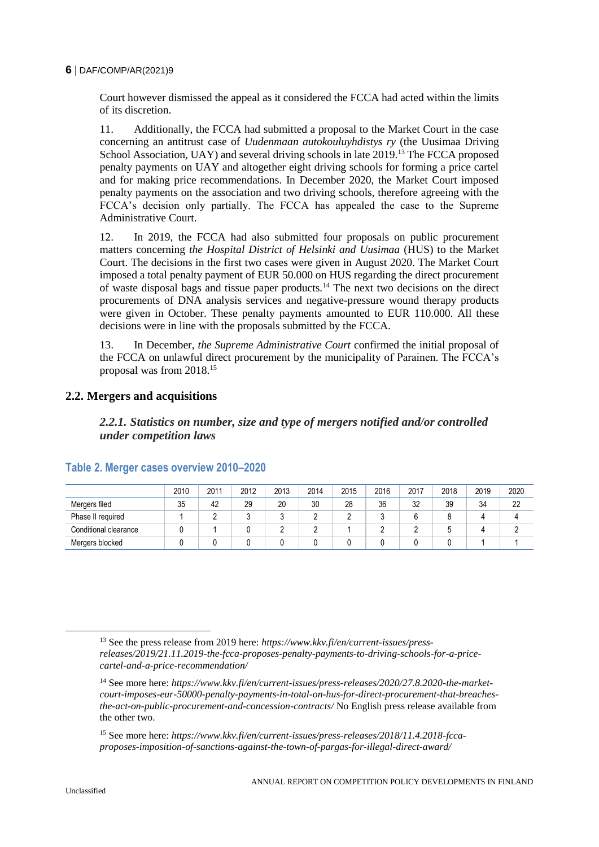Court however dismissed the appeal as it considered the FCCA had acted within the limits of its discretion.

11. Additionally, the FCCA had submitted a proposal to the Market Court in the case concerning an antitrust case of *Uudenmaan autokouluyhdistys ry* (the Uusimaa Driving School Association, UAY) and several driving schools in late 2019.<sup>13</sup> The FCCA proposed penalty payments on UAY and altogether eight driving schools for forming a price cartel and for making price recommendations. In December 2020, the Market Court imposed penalty payments on the association and two driving schools, therefore agreeing with the FCCA's decision only partially. The FCCA has appealed the case to the Supreme Administrative Court.

12. In 2019, the FCCA had also submitted four proposals on public procurement matters concerning *the Hospital District of Helsinki and Uusimaa* (HUS) to the Market Court. The decisions in the first two cases were given in August 2020. The Market Court imposed a total penalty payment of EUR 50.000 on HUS regarding the direct procurement of waste disposal bags and tissue paper products.<sup>14</sup> The next two decisions on the direct procurements of DNA analysis services and negative-pressure wound therapy products were given in October. These penalty payments amounted to EUR 110.000. All these decisions were in line with the proposals submitted by the FCCA.

13. In December, *the Supreme Administrative Court* confirmed the initial proposal of the FCCA on unlawful direct procurement by the municipality of Parainen. The FCCA's proposal was from 2018.<sup>15</sup>

### <span id="page-5-0"></span>**2.2. Mergers and acquisitions**

*2.2.1. Statistics on number, size and type of mergers notified and/or controlled under competition laws*

|                       | 2010 | 2011 | 2012 | 2013 | 2014 | 2015 | 2016 | 2017 | 2018 | 2019 | 2020 |
|-----------------------|------|------|------|------|------|------|------|------|------|------|------|
| Mergers filed         | 35   | 42   | 29   | 20   | 30   | 28   | 36   | 32   | 39   | 34   | 22   |
| Phase II required     |      |      |      |      |      |      |      |      |      |      |      |
| Conditional clearance |      |      |      |      |      |      |      |      |      |      |      |
| Mergers blocked       |      |      |      |      |      |      |      |      |      |      |      |

### <span id="page-5-1"></span>**Table 2. Merger cases overview 2010–2020**

<sup>15</sup> See more here: *https://www.kkv.fi/en/current-issues/press-releases/2018/11.4.2018-fccaproposes-imposition-of-sanctions-against-the-town-of-pargas-for-illegal-direct-award/*

 $\overline{a}$ 

<sup>13</sup> See the press release from 2019 here: *https://www.kkv.fi/en/current-issues/pressreleases/2019/21.11.2019-the-fcca-proposes-penalty-payments-to-driving-schools-for-a-pricecartel-and-a-price-recommendation/*

<sup>14</sup> See more here: *https://www.kkv.fi/en/current-issues/press-releases/2020/27.8.2020-the-marketcourt-imposes-eur-50000-penalty-payments-in-total-on-hus-for-direct-procurement-that-breachesthe-act-on-public-procurement-and-concession-contracts/* No English press release available from the other two.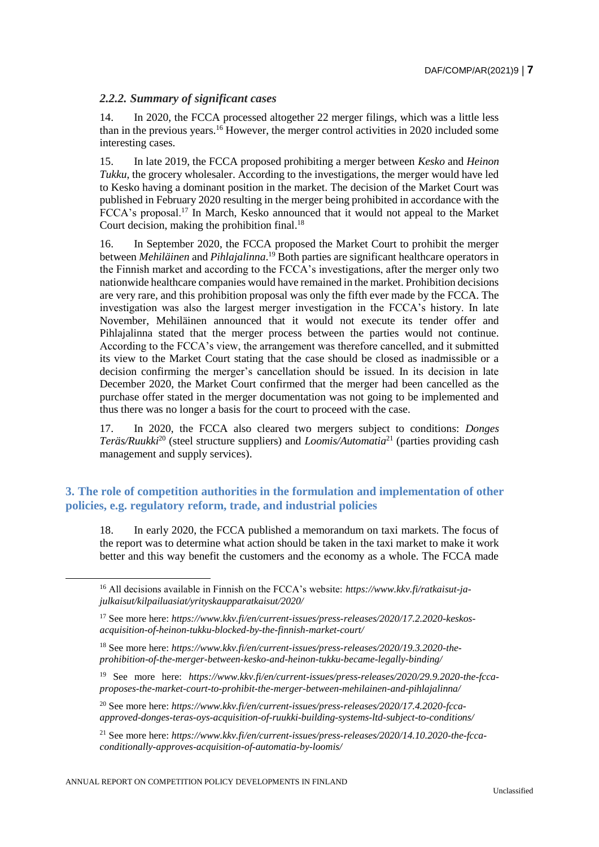#### *2.2.2. Summary of significant cases*

14. In 2020, the FCCA processed altogether 22 merger filings, which was a little less than in the previous years.<sup>16</sup> However, the merger control activities in 2020 included some interesting cases.

15. In late 2019, the FCCA proposed prohibiting a merger between *Kesko* and *Heinon Tukku*, the grocery wholesaler. According to the investigations, the merger would have led to Kesko having a dominant position in the market. The decision of the Market Court was published in February 2020 resulting in the merger being prohibited in accordance with the FCCA's proposal.<sup>17</sup> In March, Kesko announced that it would not appeal to the Market Court decision, making the prohibition final.<sup>18</sup>

16. In September 2020, the FCCA proposed the Market Court to prohibit the merger between *Mehiläinen* and *Pihlajalinna*. <sup>19</sup> Both parties are significant healthcare operators in the Finnish market and according to the FCCA's investigations, after the merger only two nationwide healthcare companies would have remained in the market. Prohibition decisions are very rare, and this prohibition proposal was only the fifth ever made by the FCCA. The investigation was also the largest merger investigation in the FCCA's history. In late November, Mehiläinen announced that it would not execute its tender offer and Pihlajalinna stated that the merger process between the parties would not continue. According to the FCCA's view, the arrangement was therefore cancelled, and it submitted its view to the Market Court stating that the case should be closed as inadmissible or a decision confirming the merger's cancellation should be issued. In its decision in late December 2020, the Market Court confirmed that the merger had been cancelled as the purchase offer stated in the merger documentation was not going to be implemented and thus there was no longer a basis for the court to proceed with the case.

17. In 2020, the FCCA also cleared two mergers subject to conditions: *Donges Teräs/Ruukki*<sup>20</sup> (steel structure suppliers) and *Loomis/Automatia*<sup>21</sup> (parties providing cash management and supply services).

### <span id="page-6-0"></span>**3. The role of competition authorities in the formulation and implementation of other policies, e.g. regulatory reform, trade, and industrial policies**

18. In early 2020, the FCCA published a memorandum on taxi markets. The focus of the report was to determine what action should be taken in the taxi market to make it work better and this way benefit the customers and the economy as a whole. The FCCA made

<sup>21</sup> See more here: *https://www.kkv.fi/en/current-issues/press-releases/2020/14.10.2020-the-fccaconditionally-approves-acquisition-of-automatia-by-loomis/*

 $\overline{a}$ 

<sup>16</sup> All decisions available in Finnish on the FCCA's website: *https://www.kkv.fi/ratkaisut-jajulkaisut/kilpailuasiat/yrityskaupparatkaisut/2020/*

<sup>17</sup> See more here: *https://www.kkv.fi/en/current-issues/press-releases/2020/17.2.2020-keskosacquisition-of-heinon-tukku-blocked-by-the-finnish-market-court/*

<sup>18</sup> See more here: *https://www.kkv.fi/en/current-issues/press-releases/2020/19.3.2020-theprohibition-of-the-merger-between-kesko-and-heinon-tukku-became-legally-binding/*

<sup>19</sup> See more here: *https://www.kkv.fi/en/current-issues/press-releases/2020/29.9.2020-the-fccaproposes-the-market-court-to-prohibit-the-merger-between-mehilainen-and-pihlajalinna/*

<sup>20</sup> See more here: *https://www.kkv.fi/en/current-issues/press-releases/2020/17.4.2020-fccaapproved-donges-teras-oys-acquisition-of-ruukki-building-systems-ltd-subject-to-conditions/*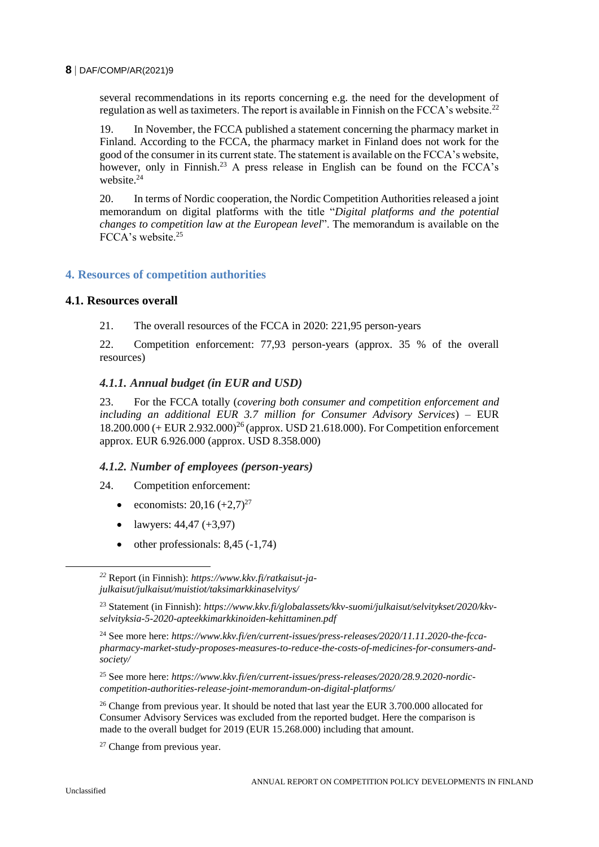several recommendations in its reports concerning e.g. the need for the development of regulation as well as taximeters. The report is available in Finnish on the FCCA's website.<sup>22</sup>

19. In November, the FCCA published a statement concerning the pharmacy market in Finland. According to the FCCA, the pharmacy market in Finland does not work for the good of the consumer in its current state. The statement is available on the FCCA's website, however, only in Finnish.<sup>23</sup> A press release in English can be found on the FCCA's website.<sup>24</sup>

20. In terms of Nordic cooperation, the Nordic Competition Authorities released a joint memorandum on digital platforms with the title "*Digital platforms and the potential changes to competition law at the European level*". The memorandum is available on the FCCA's website.<sup>25</sup>

#### <span id="page-7-0"></span>**4. Resources of competition authorities**

#### <span id="page-7-1"></span>**4.1. Resources overall**

21. The overall resources of the FCCA in 2020: 221,95 person-years

22. Competition enforcement: 77,93 person-years (approx. 35 % of the overall resources)

#### *4.1.1. Annual budget (in EUR and USD)*

23. For the FCCA totally (*covering both consumer and competition enforcement and including an additional EUR 3.7 million for Consumer Advisory Services*) – EUR  $18.200.000$  (+ EUR  $2.932.000$ )<sup>26</sup> (approx. USD 21.618.000). For Competition enforcement approx. EUR 6.926.000 (approx. USD 8.358.000)

#### *4.1.2. Number of employees (person-years)*

- 24. Competition enforcement:
	- economists:  $20.16 (+2.7)^{27}$
	- lawyers:  $44,47$  (+3,97)
	- other professionals: 8,45 (-1,74)

<sup>27</sup> Change from previous year.

 $\overline{a}$ 

*<sup>22</sup>* Report (in Finnish): *https://www.kkv.fi/ratkaisut-jajulkaisut/julkaisut/muistiot/taksimarkkinaselvitys/*

<sup>23</sup> Statement (in Finnish): *https://www.kkv.fi/globalassets/kkv-suomi/julkaisut/selvitykset/2020/kkvselvityksia-5-2020-apteekkimarkkinoiden-kehittaminen.pdf* 

<sup>24</sup> See more here: *https://www.kkv.fi/en/current-issues/press-releases/2020/11.11.2020-the-fccapharmacy-market-study-proposes-measures-to-reduce-the-costs-of-medicines-for-consumers-andsociety/*

<sup>25</sup> See more here: *https://www.kkv.fi/en/current-issues/press-releases/2020/28.9.2020-nordiccompetition-authorities-release-joint-memorandum-on-digital-platforms/*

<sup>&</sup>lt;sup>26</sup> Change from previous year. It should be noted that last year the EUR 3.700.000 allocated for Consumer Advisory Services was excluded from the reported budget. Here the comparison is made to the overall budget for 2019 (EUR 15.268.000) including that amount.